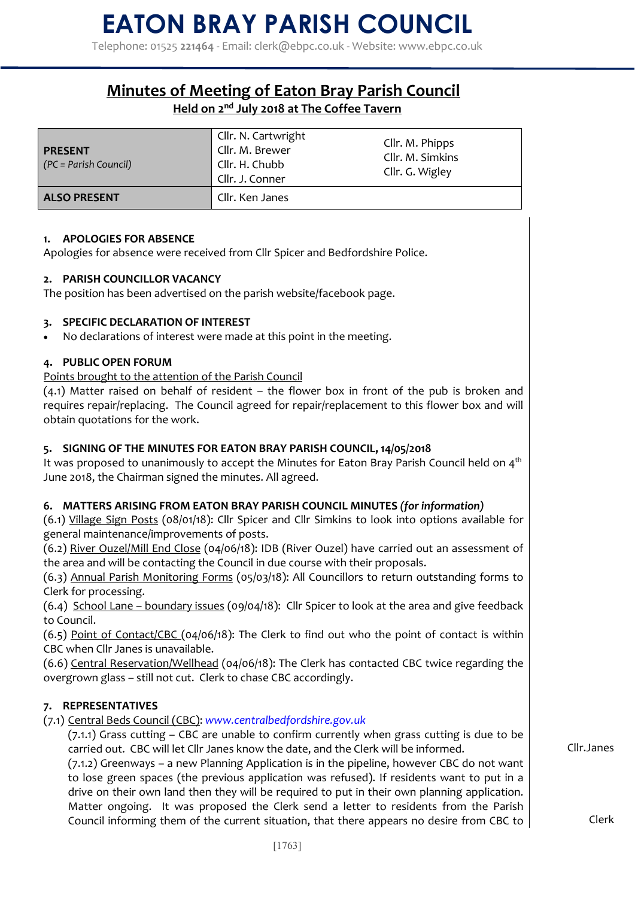Telephone: 01525 **221464** - Email: clerk@ebpc.co.uk - Website: www.ebpc.co.uk

### **Minutes of Meeting of Eaton Bray Parish Council Held on 2nd July 2018 at The Coffee Tavern**

| <b>PRESENT</b><br>$(PC = Parish Council)$ | Cllr. N. Cartwright<br>Cllr. M. Brewer<br>Cllr. H. Chubb<br>Cllr. J. Conner | Cllr. M. Phipps<br>Cllr. M. Simkins<br>Cllr. G. Wigley |
|-------------------------------------------|-----------------------------------------------------------------------------|--------------------------------------------------------|
| <b>ALSO PRESENT</b>                       | Cllr. Ken Janes                                                             |                                                        |

### **1. APOLOGIES FOR ABSENCE**

Apologies for absence were received from Cllr Spicer and Bedfordshire Police.

### **2. PARISH COUNCILLOR VACANCY**

The position has been advertised on the parish website/facebook page.

### **3. SPECIFIC DECLARATION OF INTEREST**

No declarations of interest were made at this point in the meeting.

### **4. PUBLIC OPEN FORUM**

Points brought to the attention of the Parish Council

(4.1) Matter raised on behalf of resident – the flower box in front of the pub is broken and requires repair/replacing. The Council agreed for repair/replacement to this flower box and will obtain quotations for the work.

### **5. SIGNING OF THE MINUTES FOR EATON BRAY PARISH COUNCIL, 14/05/2018**

It was proposed to unanimously to accept the Minutes for Eaton Bray Parish Council held on  $4<sup>th</sup>$ June 2018, the Chairman signed the minutes. All agreed.

### **6. MATTERS ARISING FROM EATON BRAY PARISH COUNCIL MINUTES** *(for information)*

(6.1) Village Sign Posts (08/01/18): Cllr Spicer and Cllr Simkins to look into options available for general maintenance/improvements of posts.

(6.2) River Ouzel/Mill End Close (04/06/18): IDB (River Ouzel) have carried out an assessment of the area and will be contacting the Council in due course with their proposals.

(6.3) Annual Parish Monitoring Forms (05/03/18): All Councillors to return outstanding forms to Clerk for processing.

(6.4) School Lane – boundary issues (09/04/18): Cllr Spicer to look at the area and give feedback to Council.

(6.5) Point of Contact/CBC (04/06/18): The Clerk to find out who the point of contact is within CBC when Cllr Janes is unavailable.

(6.6) Central Reservation/Wellhead (04/06/18): The Clerk has contacted CBC twice regarding the overgrown glass – still not cut. Clerk to chase CBC accordingly.

### **7. REPRESENTATIVES**

(7.1) Central Beds Council (CBC): *www.centralbedfordshire.gov.uk* 

(7.1.1) Grass cutting – CBC are unable to confirm currently when grass cutting is due to be carried out. CBC will let Cllr Janes know the date, and the Clerk will be informed.

(7.1.2) Greenways – a new Planning Application is in the pipeline, however CBC do not want to lose green spaces (the previous application was refused). If residents want to put in a drive on their own land then they will be required to put in their own planning application. Matter ongoing. It was proposed the Clerk send a letter to residents from the Parish Council informing them of the current situation, that there appears no desire from CBC to Cllr.Janes

Clerk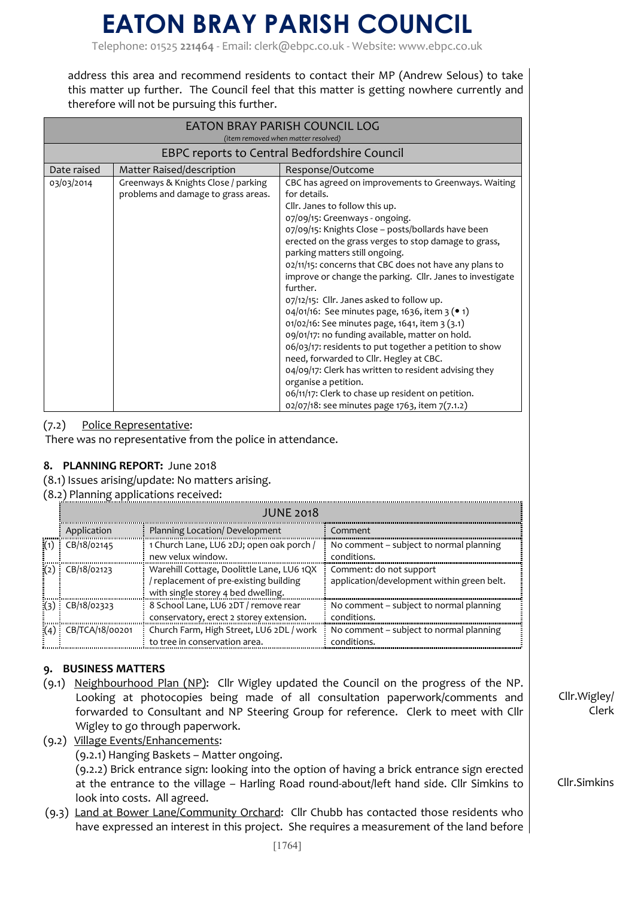## **EATON BRAY PARISH COUNCIL**

Telephone: 01525 **221464** - Email: clerk@ebpc.co.uk - Website: www.ebpc.co.uk

address this area and recommend residents to contact their MP (Andrew Selous) to take this matter up further. The Council feel that this matter is getting nowhere currently and therefore will not be pursuing this further.

| EATON BRAY PARISH COUNCIL LOG<br>(item removed when matter resolved) |                                                                            |                                                                                                                                                                                                                                                                                                                                                                                                                                                                                                                                                                                                                                                                                                                                                                                                                                                                                                                                       |  |  |
|----------------------------------------------------------------------|----------------------------------------------------------------------------|---------------------------------------------------------------------------------------------------------------------------------------------------------------------------------------------------------------------------------------------------------------------------------------------------------------------------------------------------------------------------------------------------------------------------------------------------------------------------------------------------------------------------------------------------------------------------------------------------------------------------------------------------------------------------------------------------------------------------------------------------------------------------------------------------------------------------------------------------------------------------------------------------------------------------------------|--|--|
| EBPC reports to Central Bedfordshire Council                         |                                                                            |                                                                                                                                                                                                                                                                                                                                                                                                                                                                                                                                                                                                                                                                                                                                                                                                                                                                                                                                       |  |  |
| Date raised                                                          | Matter Raised/description                                                  | Response/Outcome                                                                                                                                                                                                                                                                                                                                                                                                                                                                                                                                                                                                                                                                                                                                                                                                                                                                                                                      |  |  |
| 03/03/2014                                                           | Greenways & Knights Close / parking<br>problems and damage to grass areas. | CBC has agreed on improvements to Greenways. Waiting<br>for details.<br>Cllr. Janes to follow this up.<br>07/09/15: Greenways - ongoing.<br>07/09/15: Knights Close - posts/bollards have been<br>erected on the grass verges to stop damage to grass,<br>parking matters still ongoing.<br>02/11/15: concerns that CBC does not have any plans to<br>improve or change the parking. Cllr. Janes to investigate<br>further.<br>07/12/15: Cllr. Janes asked to follow up.<br>04/01/16: See minutes page, 1636, item 3 ( $\bullet$ 1)<br>01/02/16: See minutes page, 1641, item 3 (3.1)<br>09/01/17: no funding available, matter on hold.<br>06/03/17: residents to put together a petition to show<br>need, forwarded to Cllr. Hegley at CBC.<br>04/09/17: Clerk has written to resident advising they<br>organise a petition.<br>06/11/17: Clerk to chase up resident on petition.<br>02/07/18: see minutes page 1763, item 7(7.1.2) |  |  |

### (7.2) Police Representative:

There was no representative from the police in attendance.

### **8. PLANNING REPORT:** June 2018

(8.1) Issues arising/update: No matters arising.

### (8.2) Planning applications received:

| <b>JUNE 2018</b>        |                                                                                                                         |                                                                       |
|-------------------------|-------------------------------------------------------------------------------------------------------------------------|-----------------------------------------------------------------------|
| Application             | Planning Location/ Development                                                                                          | Comment                                                               |
| B/18/02145              | 1 Church Lane, LU6 2DJ; open oak porch /<br>new velux window.                                                           | No comment – subject to normal planning<br>conditions.                |
| CB/18/02123             | Warehill Cottage, Doolittle Lane, LU6 1QX<br>replacement of pre-existing building<br>with single storey 4 bed dwelling. | Comment: do not support<br>application/development within green belt. |
| CB/18/02323             | 8 School Lane, LU6 2DT / remove rear<br>conservatory, erect 2 storey extension.                                         | No comment – subject to normal planning<br>conditions.                |
| $(4)$ : CB/TCA/18/00201 | Church Farm, High Street, LU6 2DL / work<br>to tree in conservation area.                                               | No comment – subject to normal planning<br>conditions.                |

### **9. BUSINESS MATTERS**

- (9.1) Neighbourhood Plan (NP): Cllr Wigley updated the Council on the progress of the NP. Looking at photocopies being made of all consultation paperwork/comments and forwarded to Consultant and NP Steering Group for reference. Clerk to meet with Cllr Wigley to go through paperwork.
- (9.2) Village Events/Enhancements:

(9.2.1) Hanging Baskets – Matter ongoing.

(9.2.2) Brick entrance sign: looking into the option of having a brick entrance sign erected at the entrance to the village – Harling Road round-about/left hand side. Cllr Simkins to look into costs. All agreed.

(9.3) Land at Bower Lane/Community Orchard: Cllr Chubb has contacted those residents who have expressed an interest in this project. She requires a measurement of the land before Cllr.Wigley/ Clerk

Cllr.Simkins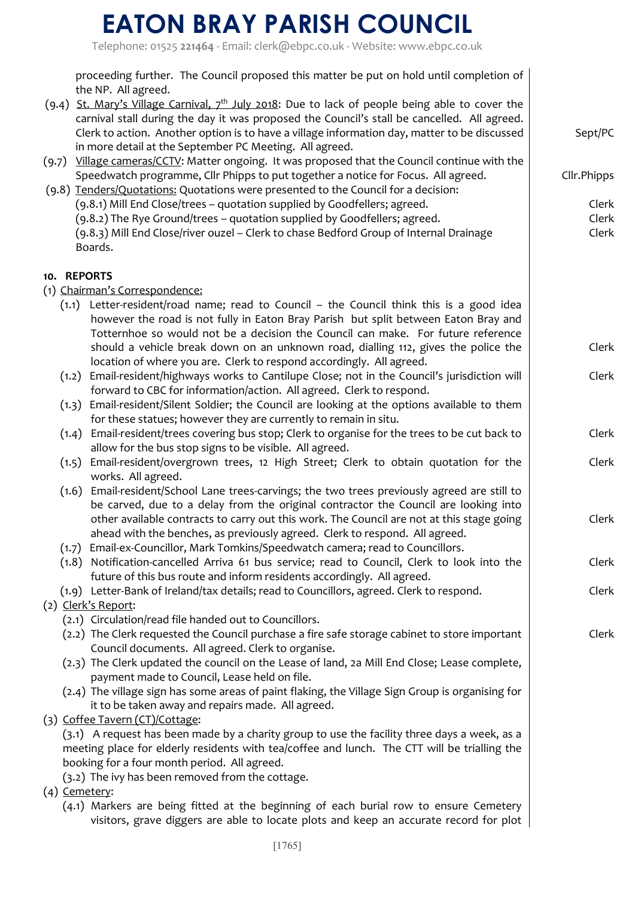# **EATON BRAY PARISH COUNCIL**

Telephone: 01525 **221464** - Email: clerk@ebpc.co.uk - Website: www.ebpc.co.uk

|       | proceeding further. The Council proposed this matter be put on hold until completion of<br>the NP. All agreed.                                                                                                                                                                                      |                |
|-------|-----------------------------------------------------------------------------------------------------------------------------------------------------------------------------------------------------------------------------------------------------------------------------------------------------|----------------|
|       | (9.4) St. Mary's Village Carnival, $7^{th}$ July 2018: Due to lack of people being able to cover the<br>carnival stall during the day it was proposed the Council's stall be cancelled. All agreed.<br>Clerk to action. Another option is to have a village information day, matter to be discussed | Sept/PC        |
| (9.7) | in more detail at the September PC Meeting. All agreed.<br>Village cameras/CCTV: Matter ongoing. It was proposed that the Council continue with the                                                                                                                                                 |                |
|       | Speedwatch programme, Cllr Phipps to put together a notice for Focus. All agreed.<br>(9.8) Tenders/Quotations: Quotations were presented to the Council for a decision:                                                                                                                             | Cllr.Phipps    |
|       | (9.8.1) Mill End Close/trees - quotation supplied by Goodfellers; agreed.                                                                                                                                                                                                                           | Clerk          |
|       | (9.8.2) The Rye Ground/trees - quotation supplied by Goodfellers; agreed.<br>(9.8.3) Mill End Close/river ouzel - Clerk to chase Bedford Group of Internal Drainage                                                                                                                                 | Clerk<br>Clerk |
|       | Boards.                                                                                                                                                                                                                                                                                             |                |
|       | 10. REPORTS                                                                                                                                                                                                                                                                                         |                |
|       | (1) Chairman's Correspondence:                                                                                                                                                                                                                                                                      |                |
|       | Letter-resident/road name; read to Council - the Council think this is a good idea<br>(1.1)<br>however the road is not fully in Eaton Bray Parish but split between Eaton Bray and                                                                                                                  |                |
|       | Totternhoe so would not be a decision the Council can make. For future reference                                                                                                                                                                                                                    |                |
|       | should a vehicle break down on an unknown road, dialling 112, gives the police the                                                                                                                                                                                                                  | Clerk          |
|       | location of where you are. Clerk to respond accordingly. All agreed.                                                                                                                                                                                                                                |                |
|       | (1.2) Email-resident/highways works to Cantilupe Close; not in the Council's jurisdiction will                                                                                                                                                                                                      | Clerk          |
|       | forward to CBC for information/action. All agreed. Clerk to respond.                                                                                                                                                                                                                                |                |
|       | (1.3) Email-resident/Silent Soldier; the Council are looking at the options available to them                                                                                                                                                                                                       |                |
|       | for these statues; however they are currently to remain in situ.                                                                                                                                                                                                                                    |                |
|       | Email-resident/trees covering bus stop; Clerk to organise for the trees to be cut back to<br>(1.4)                                                                                                                                                                                                  | Clerk          |
|       | allow for the bus stop signs to be visible. All agreed.<br>(1.5) Email-resident/overgrown trees, 12 High Street; Clerk to obtain quotation for the                                                                                                                                                  | Clerk          |
|       | works. All agreed.                                                                                                                                                                                                                                                                                  |                |
|       | Email-resident/School Lane trees-carvings; the two trees previously agreed are still to<br>(1.6)                                                                                                                                                                                                    |                |
|       | be carved, due to a delay from the original contractor the Council are looking into                                                                                                                                                                                                                 |                |
|       | other available contracts to carry out this work. The Council are not at this stage going                                                                                                                                                                                                           | Clerk          |
|       | ahead with the benches, as previously agreed. Clerk to respond. All agreed.                                                                                                                                                                                                                         |                |
|       | (1.7) Email-ex-Councillor, Mark Tomkins/Speedwatch camera; read to Councillors.                                                                                                                                                                                                                     |                |
|       | (1.8) Notification-cancelled Arriva 61 bus service; read to Council, Clerk to look into the<br>future of this bus route and inform residents accordingly. All agreed.                                                                                                                               | Clerk          |
|       | (1.9) Letter-Bank of Ireland/tax details; read to Councillors, agreed. Clerk to respond.                                                                                                                                                                                                            | Clerk          |
|       | (2) Clerk's Report:                                                                                                                                                                                                                                                                                 |                |
|       | (2.1) Circulation/read file handed out to Councillors.                                                                                                                                                                                                                                              |                |
|       | (2.2) The Clerk requested the Council purchase a fire safe storage cabinet to store important                                                                                                                                                                                                       | Clerk          |
|       | Council documents. All agreed. Clerk to organise.                                                                                                                                                                                                                                                   |                |
|       | (2.3) The Clerk updated the council on the Lease of land, 2a Mill End Close; Lease complete,                                                                                                                                                                                                        |                |
|       | payment made to Council, Lease held on file.                                                                                                                                                                                                                                                        |                |
|       | (2.4) The village sign has some areas of paint flaking, the Village Sign Group is organising for                                                                                                                                                                                                    |                |
|       | it to be taken away and repairs made. All agreed.<br>(3) Coffee Tavern (CT)/Cottage:                                                                                                                                                                                                                |                |
|       | (3.1) A request has been made by a charity group to use the facility three days a week, as a                                                                                                                                                                                                        |                |
|       | meeting place for elderly residents with tea/coffee and lunch. The CTT will be trialling the                                                                                                                                                                                                        |                |
|       | booking for a four month period. All agreed.                                                                                                                                                                                                                                                        |                |
|       | (3.2) The ivy has been removed from the cottage.                                                                                                                                                                                                                                                    |                |
|       | (4) Cemetery:                                                                                                                                                                                                                                                                                       |                |
|       | (4.1) Markers are being fitted at the beginning of each burial row to ensure Cemetery<br>visitors, grave diggers are able to locate plots and keep an accurate record for plot                                                                                                                      |                |